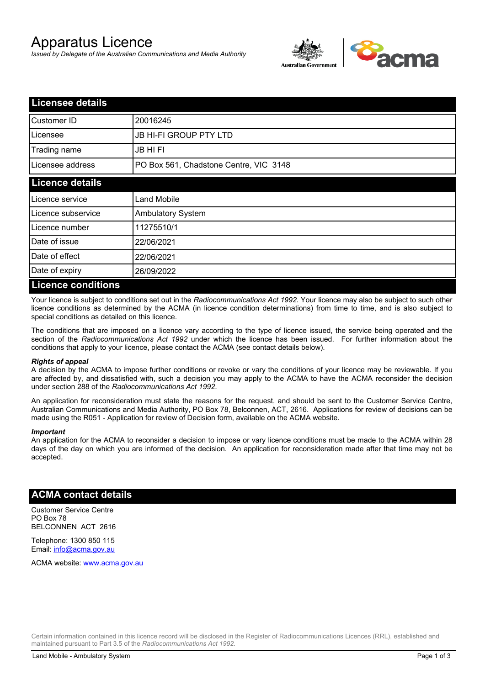# Apparatus Licence

*Issued by Delegate of the Australian Communications and Media Authority*



| <b>Licensee details</b>   |                                        |  |
|---------------------------|----------------------------------------|--|
| Customer ID               | 20016245                               |  |
| Licensee                  | <b>JB HI-FI GROUP PTY LTD</b>          |  |
| Trading name              | <b>JB HIFI</b>                         |  |
| Licensee address          | PO Box 561, Chadstone Centre, VIC 3148 |  |
| <b>Licence details</b>    |                                        |  |
| Licence service           | <b>Land Mobile</b>                     |  |
| Licence subservice        | Ambulatory System                      |  |
| Licence number            | 11275510/1                             |  |
| Date of issue             | 22/06/2021                             |  |
| Date of effect            | 22/06/2021                             |  |
| Date of expiry            | 26/09/2022                             |  |
| <b>Licence conditions</b> |                                        |  |

Your licence is subject to conditions set out in the *Radiocommunications Act 1992*. Your licence may also be subject to such other licence conditions as determined by the ACMA (in licence condition determinations) from time to time, and is also subject to special conditions as detailed on this licence.

The conditions that are imposed on a licence vary according to the type of licence issued, the service being operated and the section of the *Radiocommunications Act 1992* under which the licence has been issued. For further information about the conditions that apply to your licence, please contact the ACMA (see contact details below).

#### *Rights of appeal*

A decision by the ACMA to impose further conditions or revoke or vary the conditions of your licence may be reviewable. If you are affected by, and dissatisfied with, such a decision you may apply to the ACMA to have the ACMA reconsider the decision under section 288 of the *Radiocommunications Act 1992*.

An application for reconsideration must state the reasons for the request, and should be sent to the Customer Service Centre, Australian Communications and Media Authority, PO Box 78, Belconnen, ACT, 2616. Applications for review of decisions can be made using the R051 - Application for review of Decision form, available on the ACMA website.

#### *Important*

An application for the ACMA to reconsider a decision to impose or vary licence conditions must be made to the ACMA within 28 days of the day on which you are informed of the decision. An application for reconsideration made after that time may not be accepted.

### **ACMA contact details**

Customer Service Centre PO Box 78 BELCONNEN ACT 2616

Telephone: 1300 850 115 Email: info@acma.gov.au

ACMA website: www.acma.gov.au

Certain information contained in this licence record will be disclosed in the Register of Radiocommunications Licences (RRL), established and maintained pursuant to Part 3.5 of the *Radiocommunications Act 1992.*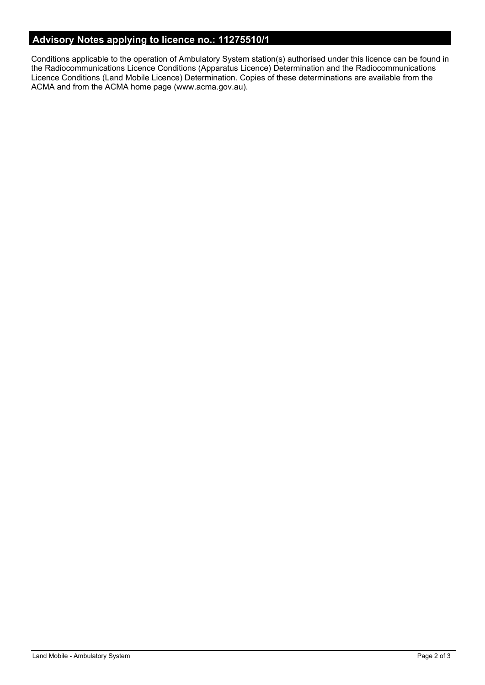## **Advisory Notes applying to licence no.: 11275510/1**

Conditions applicable to the operation of Ambulatory System station(s) authorised under this licence can be found in the Radiocommunications Licence Conditions (Apparatus Licence) Determination and the Radiocommunications Licence Conditions (Land Mobile Licence) Determination. Copies of these determinations are available from the ACMA and from the ACMA home page (www.acma.gov.au).